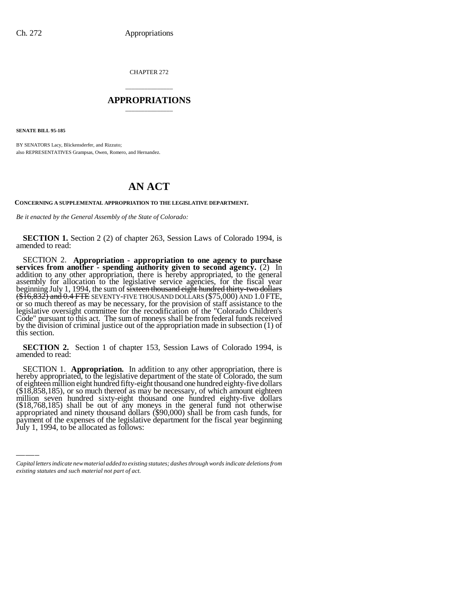CHAPTER 272

## \_\_\_\_\_\_\_\_\_\_\_\_\_\_\_ **APPROPRIATIONS** \_\_\_\_\_\_\_\_\_\_\_\_\_\_\_

**SENATE BILL 95-185**

BY SENATORS Lacy, Blickensderfer, and Rizzuto; also REPRESENTATIVES Grampsas, Owen, Romero, and Hernandez.

## **AN ACT**

**CONCERNING A SUPPLEMENTAL APPROPRIATION TO THE LEGISLATIVE DEPARTMENT.**

*Be it enacted by the General Assembly of the State of Colorado:*

**SECTION 1.** Section 2 (2) of chapter 263, Session Laws of Colorado 1994, is amended to read:

SECTION 2. **Appropriation - appropriation to one agency to purchase services from another - spending authority given to second agency.** (2) In addition to any other appropriation, there is hereby appropriated, to the general assembly for allocation to the legislative service agencies, for the fiscal year beginning July 1, 1994, the sum of <del>sixteen thousand eight hundred thirty-two dollars</del><br><del>(\$16,832) and 0.4 FTE</del> SEVENTY-FIVE THOUSAND DOLLARS (\$75,000) AND 1.0 FTE,  $$(\$16,832)$  and  $0.4$  FTE SEVENTY-FIVE THOUSAND DOLLARS ( $$75,000$ ) AND 1.0 FTE, or so much thereof as may be necessary, for the provision of staff assistance to the$ legislative oversight committee for the recodification of the "Colorado Children's Code" pursuant to this act. The sum of moneys shall be from federal funds received by the division of criminal justice out of the appropriation made in subsection (1) of this section.

**SECTION 2.** Section 1 of chapter 153, Session Laws of Colorado 1994, is amended to read:

million SECTION 1. **Appropriation.** In addition to any other appropriation, there is hereby appropriated, to the legislative department of the state of Colorado, the sum of eighteen million eight hundred fifty-eight thousand one h of eighteen million eight hundred fifty-eight thousand one hundred eighty-five dollars<br>(\$18,858,185), or so much thereof as may be necessary, of which amount eighteen<br>million seven hundred sixty-eight thousand one hundred (\$18,768,185) shall be out of any moneys in the general fund not otherwise<br>appropriated and ninety thousand dollars (\$90,000) shall be from cash funds, for payment of the expenses of the legislative department for the fiscal year beginning July 1, 1994, to be allocated as follows:

*Capital letters indicate new material added to existing statutes; dashes through words indicate deletions from existing statutes and such material not part of act.*